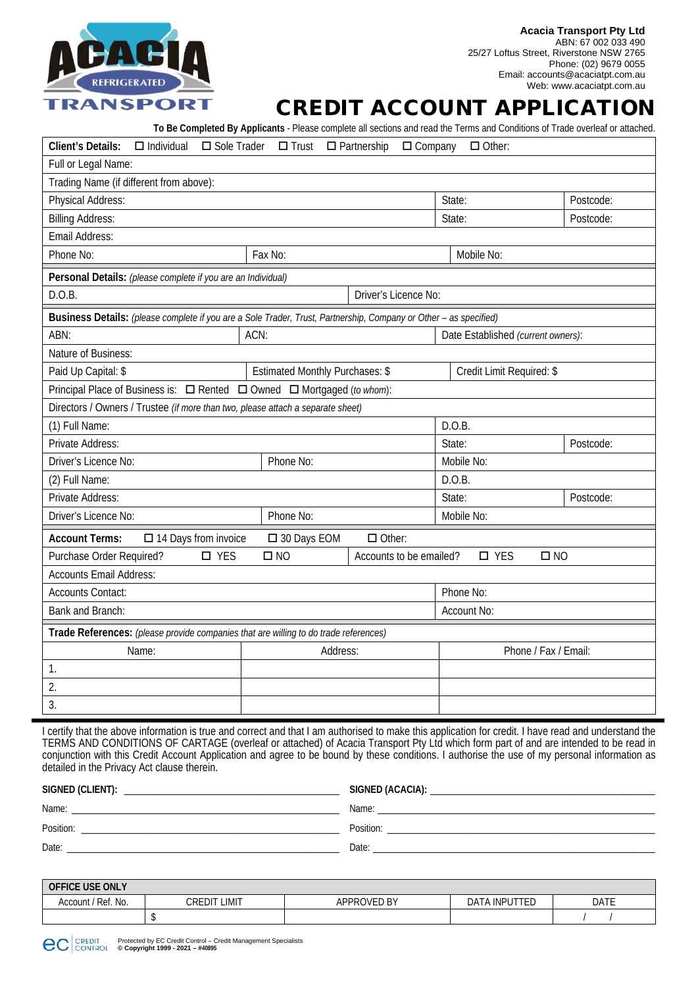

## CREDIT ACCOUNT APPLICATION

**To Be Completed By Applicants** - Please complete all sections and read the Terms and Conditions of Trade overleaf or attached.

| <b>Client's Details:</b><br>$\Box$ Individual<br>□ Sole Trader<br>$\square$ Trust<br>$\Box$ Partnership<br>$\Box$ Company<br>$\Box$ Other: |                                        |                               |                                    |           |  |
|--------------------------------------------------------------------------------------------------------------------------------------------|----------------------------------------|-------------------------------|------------------------------------|-----------|--|
| Full or Legal Name:                                                                                                                        |                                        |                               |                                    |           |  |
| Trading Name (if different from above):                                                                                                    |                                        |                               |                                    |           |  |
| Physical Address:                                                                                                                          |                                        |                               | State:                             | Postcode: |  |
| <b>Billing Address:</b>                                                                                                                    |                                        |                               | State:                             | Postcode: |  |
| Email Address:                                                                                                                             |                                        |                               |                                    |           |  |
| Phone No:<br>Fax No:                                                                                                                       |                                        |                               | Mobile No:                         |           |  |
| Personal Details: (please complete if you are an Individual)                                                                               |                                        |                               |                                    |           |  |
| D.O.B.                                                                                                                                     | Driver's Licence No:                   |                               |                                    |           |  |
| Business Details: (please complete if you are a Sole Trader, Trust, Partnership, Company or Other - as specified)                          |                                        |                               |                                    |           |  |
| ABN:                                                                                                                                       | ACN:                                   |                               | Date Established (current owners): |           |  |
| Nature of Business:                                                                                                                        |                                        |                               |                                    |           |  |
| Paid Up Capital: \$                                                                                                                        | <b>Estimated Monthly Purchases: \$</b> |                               | Credit Limit Required: \$          |           |  |
| Principal Place of Business is: □ Rented □ Owned □ Mortgaged (to whom):                                                                    |                                        |                               |                                    |           |  |
| Directors / Owners / Trustee (if more than two, please attach a separate sheet)                                                            |                                        |                               |                                    |           |  |
| (1) Full Name:                                                                                                                             |                                        |                               | D.O.B.                             |           |  |
| Private Address:                                                                                                                           |                                        | State:                        | Postcode:                          |           |  |
| Driver's Licence No:<br>Phone No:                                                                                                          |                                        | Mobile No:                    |                                    |           |  |
| (2) Full Name:                                                                                                                             |                                        |                               | D.O.B.                             |           |  |
| Private Address:                                                                                                                           |                                        |                               | State:                             | Postcode: |  |
| Driver's Licence No:                                                                                                                       | Phone No:                              |                               | Mobile No:                         |           |  |
| $\Box$ Other:<br><b>Account Terms:</b><br>$\Box$ 14 Days from invoice<br>□ 30 Days EOM                                                     |                                        |                               |                                    |           |  |
| $\square$ YES<br>$\square$ NO<br>Purchase Order Required?<br>Accounts to be emailed?                                                       |                                        | $\square$ YES<br>$\square$ NO |                                    |           |  |
| <b>Accounts Email Address:</b>                                                                                                             |                                        |                               |                                    |           |  |
| <b>Accounts Contact:</b>                                                                                                                   |                                        |                               | Phone No:                          |           |  |
| Bank and Branch:                                                                                                                           |                                        |                               | Account No:                        |           |  |
| Trade References: (please provide companies that are willing to do trade references)                                                       |                                        |                               |                                    |           |  |
| Name:                                                                                                                                      | Address:                               |                               | Phone / Fax / Email:               |           |  |
| 1.                                                                                                                                         |                                        |                               |                                    |           |  |
| $\overline{2}$ .                                                                                                                           |                                        |                               |                                    |           |  |
| 3.                                                                                                                                         |                                        |                               |                                    |           |  |

I certify that the above information is true and correct and that I am authorised to make this application for credit. I have read and understand the TERMS AND CONDITIONS OF CARTAGE (overleaf or attached) of Acacia Transport Pty Ltd which form part of and are intended to be read in conjunction with this Credit Account Application and agree to be bound by these conditions. I authorise the use of my personal information as detailed in the Privacy Act clause therein.

| SIGNED (CLIENT): | SIGNED (ACACIA): |
|------------------|------------------|
| Name:            | Name:            |
| Position:        | Position:        |
| Date:            | Date:            |

| <b>OFFICE USE ONLY</b>  |                 |                   |                                             |      |
|-------------------------|-----------------|-------------------|---------------------------------------------|------|
| / Ref. No.<br>Account / | Credit<br>LIMIT | APPROVED<br>ED BY | ᅮᆮ<br><b><i>LA INPUT</i></b><br>DA<br>I E.U | DATE |
|                         |                 |                   |                                             |      |

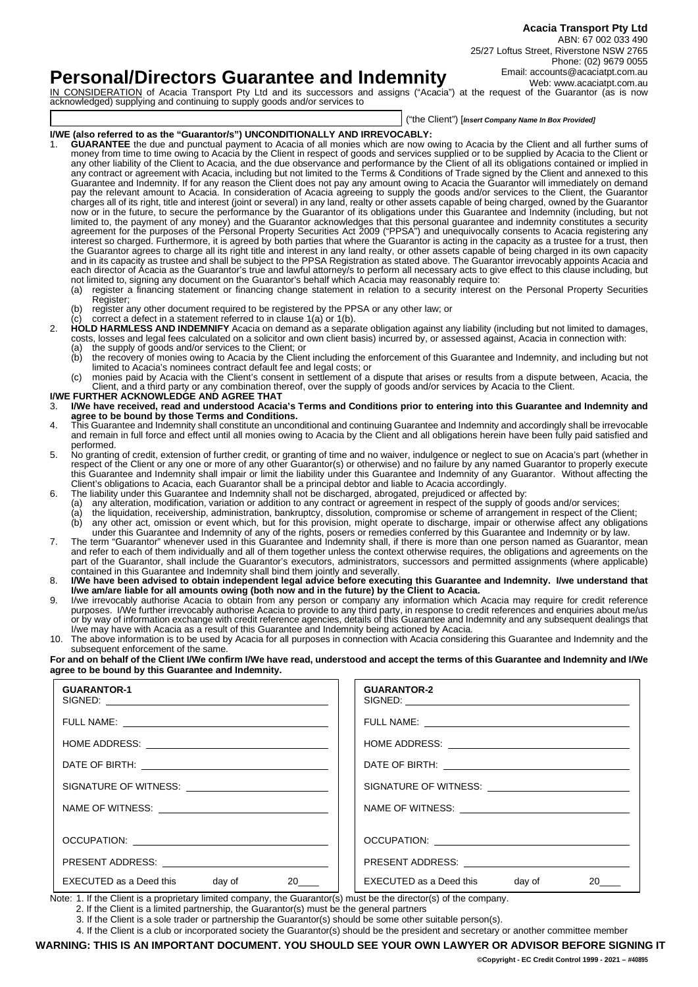## **Personal/Directors Guarantee and Indemnity**

IN CONSIDERATION of Acacia Transport Pty Ltd and its successors and assigns ("Acacia") at the request of the Guarantor (as is now acknowledged) supplying and continuing to supply goods and/or services to

("the Client") [*Insert Company Name In Box Provided]*

### **I/WE (also referred to as the "Guarantor/s") UNCONDITIONALLY AND IRREVOCABLY:**

- 1. **GUARANTEE** the due and punctual payment to Acacia of all monies which are now owing to Acacia by the Client and all further sums of money from time to time owing to Acacia by the Client in respect of goods and services supplied or to be supplied by Acacia to the Client or any other liability of the Client to Acacia, and the due observance and performance by the Client of all its obligations contained or implied in any contract or agreement with Acacia, including but not limited to the Terms & Conditions of Trade signed by the Client and annexed to this Guarantee and Indemnity. If for any reason the Client does not pay any amount owing to Acacia the Guarantor will immediately on demand pay the relevant amount to Acacia. In consideration of Acacia agreeing to supply the goods and/or services to the Client, the Guarantor charges all of its right, title and interest (joint or several) in any land, realty or other assets capable of being charged, owned by the Guarantor now or in the future, to secure the performance by the Guarantor of its obligations under this Guarantee and Indemnity (including, but not limited to, the payment of any money) and the Guarantor acknowledges that this personal guarantee and indemnity constitutes a security agreement for the purposes of the Personal Property Securities Act 2009 ("PPSA") and unequivocally consents to Acacia registering any interest so charged. Furthermore, it is agreed by both parties that where the Guarantor is acting in the capacity as a trustee for a trust, then the Guarantor agrees to charge all its right title and interest in any land realty, or other assets capable of being charged in its own capacity and in its capacity as trustee and shall be subject to the PPSA Registration as stated above. The Guarantor irrevocably appoints Acacia and each director of Acacia as the Guarantor's true and lawful attorney/s to perform all necessary acts to give effect to this clause including, but not limited to, signing any document on the Guarantor's behalf which Acacia may reasonably require to:<br>(a) register a financing statement or financing change statement in relation to a security interest or
	- (a) register a financing statement or financing change statement in relation to a security interest on the Personal Property Securities Register;
	- (b) register any other document required to be registered by the PPSA or any other law; or
	- correct a defect in a statement referred to in clause  $1(a)$  or  $1(b)$ .
- 2. **HOLD HARMLESS AND INDEMNIFY** Acacia on demand as a separate obligation against any liability (including but not limited to damages, costs, losses and legal fees calculated on a solicitor and own client basis) incurred by, or assessed against, Acacia in connection with:
	- (a) the supply of goods and/or services to the Client; or (b) the recovery of monies owing to Acacia by the Clien the recovery of monies owing to Acacia by the Client including the enforcement of this Guarantee and Indemnity, and including but not limited to Acacia's nominees contract default fee and legal costs; or
		- (c) monies paid by Acacia with the Client's consent in settlement of a dispute that arises or results from a dispute between, Acacia, the Client, and a third party or any combination thereof, over the supply of goods and/or services by Acacia to the Client.
- **I/WE FURTHER ACKNOWLEDGE AND AGREE THAT** 3. **I/We have received, read and understood Acacia's Terms and Conditions prior to entering into this Guarantee and Indemnity and agree to be bound by those Terms and Conditions.**
- 4. This Guarantee and Indemnity shall constitute an unconditional and continuing Guarantee and Indemnity and accordingly shall be irrevocable and remain in full force and effect until all monies owing to Acacia by the Client and all obligations herein have been fully paid satisfied and performed.
- 5. No granting of credit, extension of further credit, or granting of time and no waiver, indulgence or neglect to sue on Acacia's part (whether in respect of the Client or any one or more of any other Guarantor(s) or otherwise) and no failure by any named Guarantor to properly execute this Guarantee and Indemnity shall impair or limit the liability under this Guarantee and Indemnity of any Guarantor. Without affecting the Client's obligations to Acacia, each Guarantor shall be a principal debtor and liable to Acacia accordingly.
- 6. The liability under this Guarantee and Indemnity shall not be discharged, abrogated, prejudiced or affected by:
	- (a) any alteration, modification, variation or addition to any contract or agreement in respect of the supply of goods and/or services;
	- (a) the liquidation, receivership, administration, bankruptcy, dissolution, compromise or scheme of arrangement in respect of the Client; (b) any other act, omission or event which, but for this provision, might operate to discharge, impair or otherwise affect any obligations under this Guarantee and Indemnity of any of the rights, posers or remedies conferred by this Guarantee and Indemnity or by law.
- 7. The term "Guarantor" whenever used in this Guarantee and Indemnity shall, if there is more than one person named as Guarantor, mean and refer to each of them individually and all of them together unless the context otherwise requires, the obligations and agreements on the part of the Guarantor, shall include the Guarantor's executors, administrators, successors and permitted assignments (where applicable) contained in this Guarantee and Indemnity shall bind them jointly and severally.
- 8. **I/We have been advised to obtain independent legal advice before executing this Guarantee and Indemnity. I/we understand that I/we am/are liable for all amounts owing (both now and in the future) by the Client to Acacia.**
- 9. I/we irrevocably authorise Acacia to obtain from any person or company any information which Acacia may require for credit reference purposes. I/We further irrevocably authorise Acacia to provide to any third party, in response to credit references and enquiries about me/us or by way of information exchange with credit reference agencies, details of this Guarantee and Indemnity and any subsequent dealings that I/we may have with Acacia as a result of this Guarantee and Indemnity being actioned by Acacia.
- 10. The above information is to be used by Acacia for all purposes in connection with Acacia considering this Guarantee and Indemnity and the subsequent enforcement of the same.

**For and on behalf of the Client I/We confirm I/We have read, understood and accept the terms of this Guarantee and Indemnity and I/We agree to be bound by this Guarantee and Indemnity.**

| <b>GUARANTOR-1</b>                                      | <b>GUARANTOR-2</b>                   |
|---------------------------------------------------------|--------------------------------------|
|                                                         |                                      |
|                                                         |                                      |
|                                                         |                                      |
| SIGNATURE OF WITNESS: _________________________________ |                                      |
|                                                         |                                      |
|                                                         |                                      |
|                                                         |                                      |
|                                                         |                                      |
| EXECUTED as a Deed this day of<br>$20$ <sub>_____</sub> | EXECUTED as a Deed this day of<br>20 |

Note: 1. If the Client is a proprietary limited company, the Guarantor(s) must be the director(s) of the company.

2. If the Client is a limited partnership, the Guarantor(s) must be the general partners

4. If the Client is a club or incorporated society the Guarantor(s) should be the president and secretary or another committee member

**WARNING: THIS IS AN IMPORTANT DOCUMENT. YOU SHOULD SEE YOUR OWN LAWYER OR ADVISOR BEFORE SIGNING IT**

<sup>3.</sup> If the Client is a sole trader or partnership the Guarantor(s) should be some other suitable person(s).